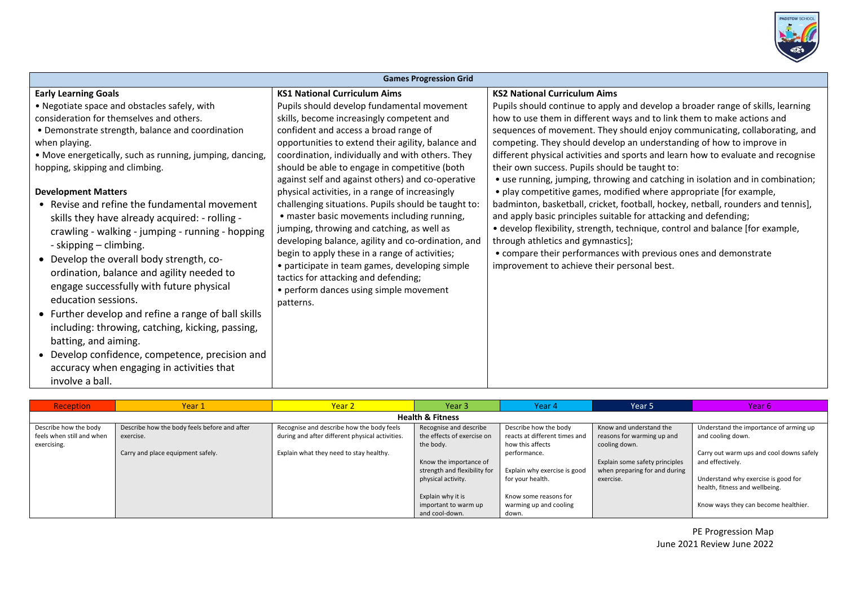

| <b>Reception</b>            | Year 1                                       | Year 2                                          | Year 3                       | Year 4                        | Year 5                         | Year <sub>6</sub>                        |  |
|-----------------------------|----------------------------------------------|-------------------------------------------------|------------------------------|-------------------------------|--------------------------------|------------------------------------------|--|
| <b>Health &amp; Fitness</b> |                                              |                                                 |                              |                               |                                |                                          |  |
| Describe how the body       | Describe how the body feels before and after | Recognise and describe how the body feels       | Recognise and describe       | Describe how the body         | Know and understand the        | Understand the importance of arming up   |  |
| feels when still and when   | exercise.                                    | during and after different physical activities. | the effects of exercise on   | reacts at different times and | reasons for warming up and     | and cooling down.                        |  |
| exercising.                 |                                              |                                                 | the body.                    | how this affects              | cooling down.                  |                                          |  |
|                             | Carry and place equipment safely.            | Explain what they need to stay healthy.         |                              | performance.                  |                                | Carry out warm ups and cool downs safely |  |
|                             |                                              |                                                 | Know the importance of       |                               | Explain some safety principles | and effectively.                         |  |
|                             |                                              |                                                 | strength and flexibility for | Explain why exercise is good  | when preparing for and during  |                                          |  |
|                             |                                              |                                                 | physical activity.           | for your health.              | exercise.                      | Understand why exercise is good for      |  |
|                             |                                              |                                                 |                              |                               |                                | health, fitness and wellbeing.           |  |
|                             |                                              |                                                 | Explain why it is            | Know some reasons for         |                                |                                          |  |
|                             |                                              |                                                 | important to warm up         | warming up and cooling        |                                | Know ways they can become healthier.     |  |
|                             |                                              |                                                 | and cool-down.               | down.                         |                                |                                          |  |

PE Progression Map June 2021 Review June 2022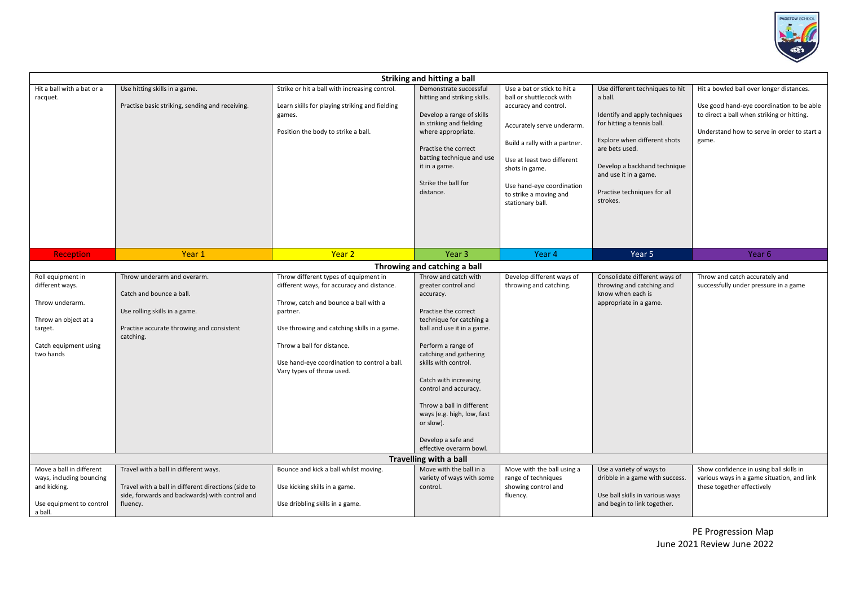

| Striking and hitting a ball                                                                                                                                                                            |                                                                                                                                                            |                                                                                                                                                                                                                                                                                                    |                                                                                                                                                                                                                                                                                                                                                                                               |                                                                                                                                                                                                                                                                            |                                                                                                                                                                                                                                                                 |                                                                                                                                                                                             |  |
|--------------------------------------------------------------------------------------------------------------------------------------------------------------------------------------------------------|------------------------------------------------------------------------------------------------------------------------------------------------------------|----------------------------------------------------------------------------------------------------------------------------------------------------------------------------------------------------------------------------------------------------------------------------------------------------|-----------------------------------------------------------------------------------------------------------------------------------------------------------------------------------------------------------------------------------------------------------------------------------------------------------------------------------------------------------------------------------------------|----------------------------------------------------------------------------------------------------------------------------------------------------------------------------------------------------------------------------------------------------------------------------|-----------------------------------------------------------------------------------------------------------------------------------------------------------------------------------------------------------------------------------------------------------------|---------------------------------------------------------------------------------------------------------------------------------------------------------------------------------------------|--|
| Hit a ball with a bat or a<br>racquet.                                                                                                                                                                 | Use hitting skills in a game.<br>Practise basic striking, sending and receiving.                                                                           | Strike or hit a ball with increasing control.<br>Learn skills for playing striking and fielding<br>games.<br>Position the body to strike a ball.                                                                                                                                                   | Demonstrate successful<br>hitting and striking skills.<br>Develop a range of skills<br>in striking and fielding<br>where appropriate.<br>Practise the correct<br>batting technique and use<br>it in a game.<br>Strike the ball for<br>distance.                                                                                                                                               | Use a bat or stick to hit a<br>ball or shuttlecock with<br>accuracy and control.<br>Accurately serve underarm.<br>Build a rally with a partner.<br>Use at least two different<br>shots in game.<br>Use hand-eye coordination<br>to strike a moving and<br>stationary ball. | Use different techniques to hit<br>a ball.<br>Identify and apply techniques<br>for hitting a tennis ball.<br>Explore when different shots<br>are bets used.<br>Develop a backhand technique<br>and use it in a game.<br>Practise techniques for all<br>strokes. | Hit a bowled ball over longer distances.<br>Use good hand-eye coordination to be able<br>to direct a ball when striking or hitting.<br>Understand how to serve in order to start a<br>game. |  |
| <b>Reception</b>                                                                                                                                                                                       | Year 1                                                                                                                                                     | Year <sub>2</sub>                                                                                                                                                                                                                                                                                  | Year <sub>3</sub>                                                                                                                                                                                                                                                                                                                                                                             | Year 4                                                                                                                                                                                                                                                                     | Year 5                                                                                                                                                                                                                                                          | Year 6                                                                                                                                                                                      |  |
|                                                                                                                                                                                                        |                                                                                                                                                            |                                                                                                                                                                                                                                                                                                    | Throwing and catching a ball                                                                                                                                                                                                                                                                                                                                                                  |                                                                                                                                                                                                                                                                            |                                                                                                                                                                                                                                                                 |                                                                                                                                                                                             |  |
| Roll equipment in<br>different ways.<br>Throw underarm.<br>Throw an object at a<br>target.<br>Catch equipment using<br>two hands                                                                       | Throw underarm and overarm.<br>Catch and bounce a ball.<br>Use rolling skills in a game.<br>Practise accurate throwing and consistent<br>catching.         | Throw different types of equipment in<br>different ways, for accuracy and distance.<br>Throw, catch and bounce a ball with a<br>partner.<br>Use throwing and catching skills in a game.<br>Throw a ball for distance.<br>Use hand-eye coordination to control a ball.<br>Vary types of throw used. | Throw and catch with<br>greater control and<br>accuracy.<br>Practise the correct<br>technique for catching a<br>ball and use it in a game.<br>Perform a range of<br>catching and gathering<br>skills with control.<br>Catch with increasing<br>control and accuracy.<br>Throw a ball in different<br>ways (e.g. high, low, fast<br>or slow).<br>Develop a safe and<br>effective overarm bowl. | Develop different ways of<br>throwing and catching.                                                                                                                                                                                                                        | Consolidate different ways of<br>throwing and catching and<br>know when each is<br>appropriate in a game.                                                                                                                                                       | Throw and catch accurately and<br>successfully under pressure in a game                                                                                                                     |  |
| <b>Travelling with a ball</b><br>Move a ball in different<br>Bounce and kick a ball whilst moving.<br>Move with the ball in a<br>Move with the ball using a<br>Show confidence in using ball skills in |                                                                                                                                                            |                                                                                                                                                                                                                                                                                                    |                                                                                                                                                                                                                                                                                                                                                                                               |                                                                                                                                                                                                                                                                            |                                                                                                                                                                                                                                                                 |                                                                                                                                                                                             |  |
| ways, including bouncing<br>and kicking.<br>Use equipment to control<br>a ball.                                                                                                                        | Travel with a ball in different ways.<br>Travel with a ball in different directions (side to<br>side, forwards and backwards) with control and<br>fluency. | Use kicking skills in a game.<br>Use dribbling skills in a game.                                                                                                                                                                                                                                   | variety of ways with some<br>control.                                                                                                                                                                                                                                                                                                                                                         | range of techniques<br>showing control and<br>fluency.                                                                                                                                                                                                                     | Use a variety of ways to<br>dribble in a game with success.<br>Use ball skills in various ways<br>and begin to link together.                                                                                                                                   | various ways in a game situation, and link<br>these together effectively                                                                                                                    |  |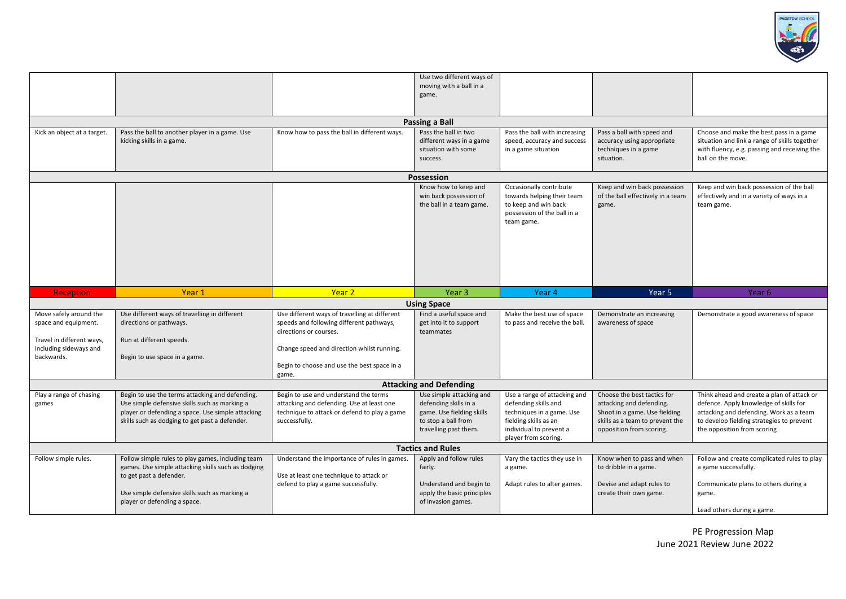

|                             |                                                                                                    |                                                                                           | Use two different ways of                          |                                                   |                                                           |                                                                                   |  |
|-----------------------------|----------------------------------------------------------------------------------------------------|-------------------------------------------------------------------------------------------|----------------------------------------------------|---------------------------------------------------|-----------------------------------------------------------|-----------------------------------------------------------------------------------|--|
|                             |                                                                                                    |                                                                                           | moving with a ball in a<br>game.                   |                                                   |                                                           |                                                                                   |  |
|                             |                                                                                                    |                                                                                           |                                                    |                                                   |                                                           |                                                                                   |  |
|                             |                                                                                                    |                                                                                           |                                                    |                                                   |                                                           |                                                                                   |  |
|                             |                                                                                                    |                                                                                           | Passing a Ball                                     |                                                   |                                                           |                                                                                   |  |
| Kick an object at a target. | Pass the ball to another player in a game. Use                                                     | Know how to pass the ball in different ways.                                              | Pass the ball in two                               | Pass the ball with increasing                     | Pass a ball with speed and                                | Choose and make the best pass in a game                                           |  |
|                             | kicking skills in a game.                                                                          |                                                                                           | different ways in a game                           | speed, accuracy and success                       | accuracy using appropriate                                | situation and link a range of skills together                                     |  |
|                             |                                                                                                    |                                                                                           | situation with some<br>success.                    | in a game situation                               | techniques in a game<br>situation.                        | with fluency, e.g. passing and receiving the<br>ball on the move.                 |  |
|                             |                                                                                                    |                                                                                           |                                                    |                                                   |                                                           |                                                                                   |  |
|                             |                                                                                                    |                                                                                           | Possession                                         |                                                   |                                                           |                                                                                   |  |
|                             |                                                                                                    |                                                                                           | Know how to keep and                               | Occasionally contribute                           | Keep and win back possession                              | Keep and win back possession of the ball                                          |  |
|                             |                                                                                                    |                                                                                           | win back possession of                             | towards helping their team                        | of the ball effectively in a team                         | effectively and in a variety of ways in a                                         |  |
|                             |                                                                                                    |                                                                                           | the ball in a team game.                           | to keep and win back                              | game.                                                     | team game.                                                                        |  |
|                             |                                                                                                    |                                                                                           |                                                    | possession of the ball in a<br>team game.         |                                                           |                                                                                   |  |
|                             |                                                                                                    |                                                                                           |                                                    |                                                   |                                                           |                                                                                   |  |
|                             |                                                                                                    |                                                                                           |                                                    |                                                   |                                                           |                                                                                   |  |
|                             |                                                                                                    |                                                                                           |                                                    |                                                   |                                                           |                                                                                   |  |
|                             |                                                                                                    |                                                                                           |                                                    |                                                   |                                                           |                                                                                   |  |
|                             |                                                                                                    |                                                                                           |                                                    |                                                   |                                                           |                                                                                   |  |
|                             |                                                                                                    |                                                                                           |                                                    |                                                   |                                                           |                                                                                   |  |
| <b>Reception</b>            | Year 1                                                                                             | Year <sub>2</sub>                                                                         | Year 3                                             | Year 4                                            | Year 5                                                    | Year 6                                                                            |  |
|                             |                                                                                                    |                                                                                           | <b>Using Space</b>                                 |                                                   |                                                           |                                                                                   |  |
| Move safely around the      | Use different ways of travelling in different                                                      | Use different ways of travelling at different                                             | Find a useful space and                            | Make the best use of space                        | Demonstrate an increasing                                 | Demonstrate a good awareness of space                                             |  |
| space and equipment.        | directions or pathways.                                                                            | speeds and following different pathways,                                                  | get into it to support                             | to pass and receive the ball.                     | awareness of space                                        |                                                                                   |  |
| Travel in different ways,   |                                                                                                    | directions or courses.                                                                    | teammates                                          |                                                   |                                                           |                                                                                   |  |
| including sideways and      | Run at different speeds.                                                                           | Change speed and direction whilst running.                                                |                                                    |                                                   |                                                           |                                                                                   |  |
| backwards.                  | Begin to use space in a game.                                                                      |                                                                                           |                                                    |                                                   |                                                           |                                                                                   |  |
|                             |                                                                                                    | Begin to choose and use the best space in a                                               |                                                    |                                                   |                                                           |                                                                                   |  |
|                             |                                                                                                    | game.                                                                                     |                                                    |                                                   |                                                           |                                                                                   |  |
|                             |                                                                                                    |                                                                                           | <b>Attacking and Defending</b>                     |                                                   |                                                           |                                                                                   |  |
| Play a range of chasing     | Begin to use the terms attacking and defending.                                                    | Begin to use and understand the terms                                                     | Use simple attacking and                           | Use a range of attacking and                      | Choose the best tactics for                               | Think ahead and create a plan of attack or                                        |  |
| games                       | Use simple defensive skills such as marking a<br>player or defending a space. Use simple attacking | attacking and defending. Use at least one<br>technique to attack or defend to play a game | defending skills in a<br>game. Use fielding skills | defending skills and<br>techniques in a game. Use | attacking and defending.<br>Shoot in a game. Use fielding | defence. Apply knowledge of skills for<br>attacking and defending. Work as a team |  |
|                             | skills such as dodging to get past a defender.                                                     | successfully.                                                                             | to stop a ball from                                | fielding skills as an                             | skills as a team to prevent the                           | to develop fielding strategies to prevent                                         |  |
|                             |                                                                                                    |                                                                                           | travelling past them.                              | individual to prevent a                           | opposition from scoring.                                  | the opposition from scoring                                                       |  |
|                             |                                                                                                    |                                                                                           |                                                    | player from scoring.                              |                                                           |                                                                                   |  |
| <b>Tactics and Rules</b>    |                                                                                                    |                                                                                           |                                                    |                                                   |                                                           |                                                                                   |  |
| Follow simple rules.        | Follow simple rules to play games, including team                                                  | Understand the importance of rules in games.                                              | Apply and follow rules                             | Vary the tactics they use in                      | Know when to pass and when                                | Follow and create complicated rules to play                                       |  |
|                             | games. Use simple attacking skills such as dodging                                                 |                                                                                           | fairly.                                            | a game.                                           | to dribble in a game.                                     | a game successfully.                                                              |  |
|                             | to get past a defender.                                                                            | Use at least one technique to attack or<br>defend to play a game successfully.            | Understand and begin to                            | Adapt rules to alter games.                       | Devise and adapt rules to                                 | Communicate plans to others during a                                              |  |
|                             | Use simple defensive skills such as marking a                                                      |                                                                                           | apply the basic principles                         |                                                   | create their own game.                                    | game.                                                                             |  |
|                             | player or defending a space.                                                                       |                                                                                           | of invasion games.                                 |                                                   |                                                           |                                                                                   |  |
|                             |                                                                                                    |                                                                                           |                                                    |                                                   |                                                           | Lead others during a game.                                                        |  |

PE Progression Map June 2021 Review June 2022